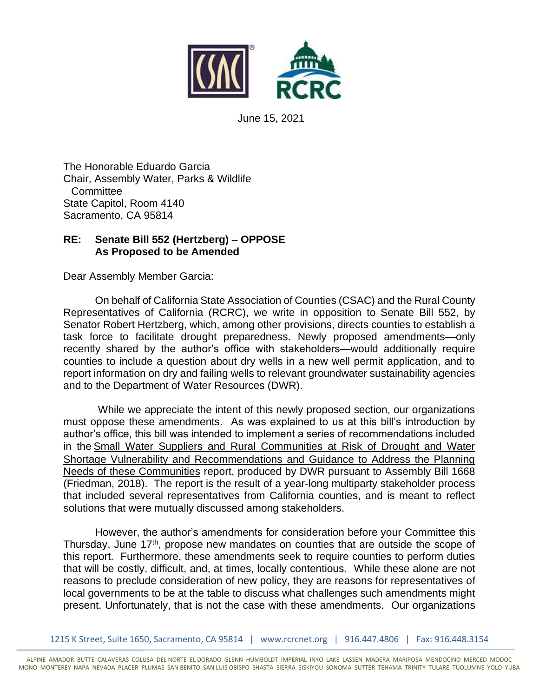

June 15, 2021

The Honorable Eduardo Garcia Chair, Assembly Water, Parks & Wildlife **Committee** State Capitol, Room 4140 Sacramento, CA 95814

## **RE: Senate Bill 552 (Hertzberg) – OPPOSE As Proposed to be Amended**

Dear Assembly Member Garcia:

On behalf of California State Association of Counties (CSAC) and the Rural County Representatives of California (RCRC), we write in opposition to Senate Bill 552, by Senator Robert Hertzberg, which, among other provisions, directs counties to establish a task force to facilitate drought preparedness. Newly proposed amendments—only recently shared by the author's office with stakeholders—would additionally require counties to include a question about dry wells in a new well permit application, and to report information on dry and failing wells to relevant groundwater sustainability agencies and to the Department of Water Resources (DWR).

While we appreciate the intent of this newly proposed section, our organizations must oppose these amendments. As was explained to us at this bill's introduction by author's office, this bill was intended to implement a series of recommendations included in the Small Water Suppliers and Rural Communities at Risk of Drought and Water Shortage Vulnerability and Recommendations and Guidance to Address the Planning Needs of these Communities report, produced by DWR pursuant to Assembly Bill 1668 (Friedman, 2018). The report is the result of a year-long multiparty stakeholder process that included several representatives from California counties, and is meant to reflect solutions that were mutually discussed among stakeholders.

However, the author's amendments for consideration before your Committee this Thursday, June 17<sup>th</sup>, propose new mandates on counties that are outside the scope of this report. Furthermore, these amendments seek to require counties to perform duties that will be costly, difficult, and, at times, locally contentious. While these alone are not reasons to preclude consideration of new policy, they are reasons for representatives of local governments to be at the table to discuss what challenges such amendments might present. Unfortunately, that is not the case with these amendments. Our organizations

1215 K Street, Suite 1650, Sacramento, CA 95814 | www.rcrcnet.org | 916.447.4806 | Fax: 916.448.3154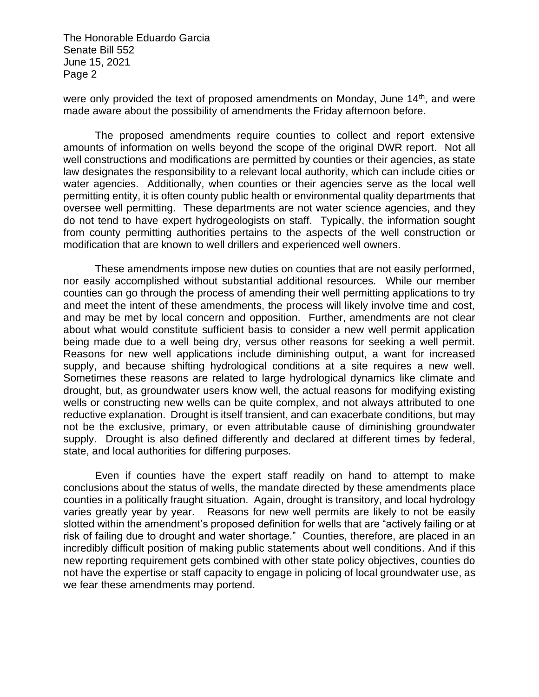The Honorable Eduardo Garcia Senate Bill 552 June 15, 2021 Page 2

were only provided the text of proposed amendments on Monday, June 14<sup>th</sup>, and were made aware about the possibility of amendments the Friday afternoon before.

The proposed amendments require counties to collect and report extensive amounts of information on wells beyond the scope of the original DWR report. Not all well constructions and modifications are permitted by counties or their agencies, as state law designates the responsibility to a relevant local authority, which can include cities or water agencies. Additionally, when counties or their agencies serve as the local well permitting entity, it is often county public health or environmental quality departments that oversee well permitting. These departments are not water science agencies, and they do not tend to have expert hydrogeologists on staff. Typically, the information sought from county permitting authorities pertains to the aspects of the well construction or modification that are known to well drillers and experienced well owners.

These amendments impose new duties on counties that are not easily performed, nor easily accomplished without substantial additional resources. While our member counties can go through the process of amending their well permitting applications to try and meet the intent of these amendments, the process will likely involve time and cost, and may be met by local concern and opposition. Further, amendments are not clear about what would constitute sufficient basis to consider a new well permit application being made due to a well being dry, versus other reasons for seeking a well permit. Reasons for new well applications include diminishing output, a want for increased supply, and because shifting hydrological conditions at a site requires a new well. Sometimes these reasons are related to large hydrological dynamics like climate and drought, but, as groundwater users know well, the actual reasons for modifying existing wells or constructing new wells can be quite complex, and not always attributed to one reductive explanation. Drought is itself transient, and can exacerbate conditions, but may not be the exclusive, primary, or even attributable cause of diminishing groundwater supply. Drought is also defined differently and declared at different times by federal, state, and local authorities for differing purposes.

Even if counties have the expert staff readily on hand to attempt to make conclusions about the status of wells, the mandate directed by these amendments place counties in a politically fraught situation. Again, drought is transitory, and local hydrology varies greatly year by year. Reasons for new well permits are likely to not be easily slotted within the amendment's proposed definition for wells that are "actively failing or at risk of failing due to drought and water shortage." Counties, therefore, are placed in an incredibly difficult position of making public statements about well conditions. And if this new reporting requirement gets combined with other state policy objectives, counties do not have the expertise or staff capacity to engage in policing of local groundwater use, as we fear these amendments may portend.